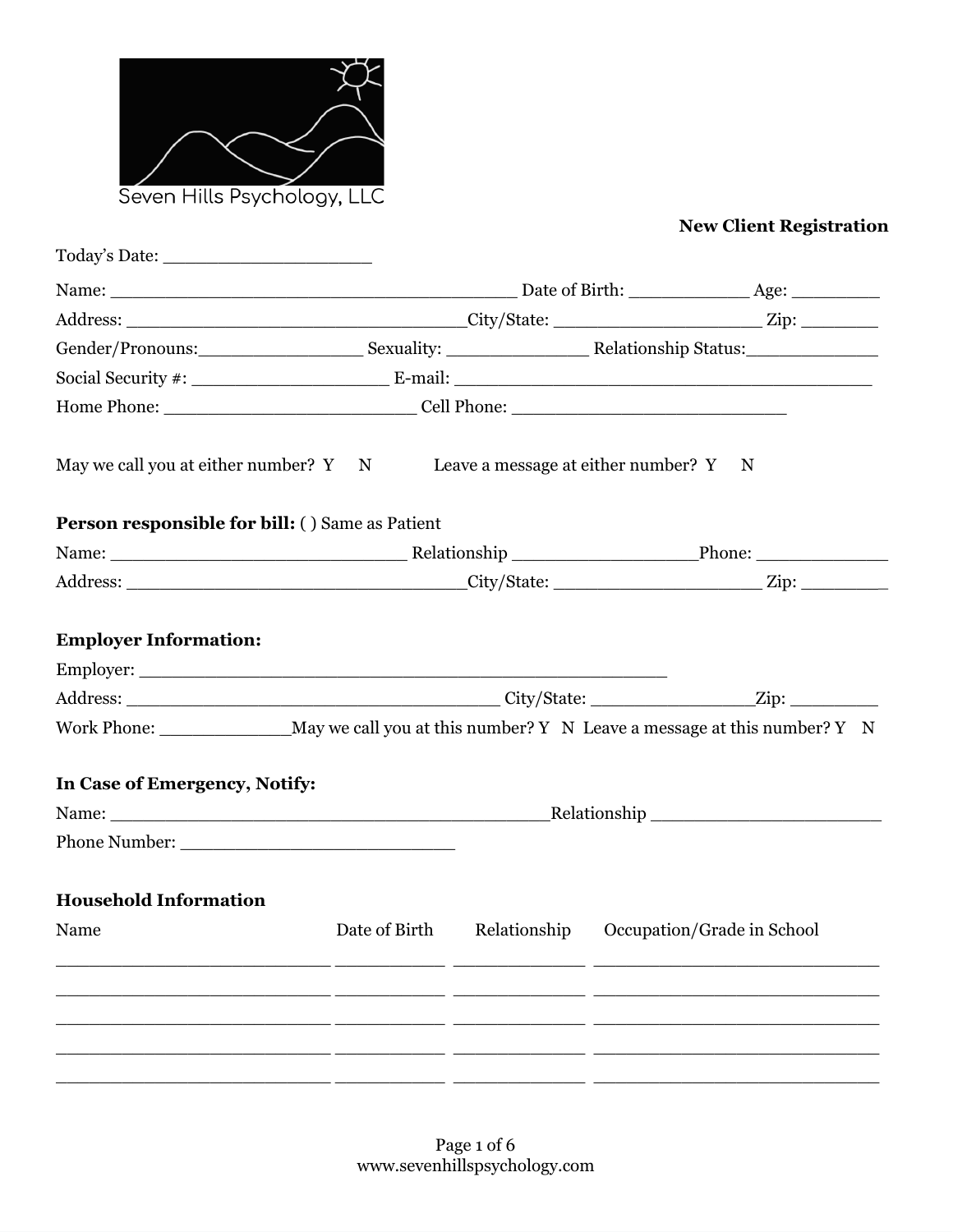

# **New Client Registration**

| May we call you at either number? Y N Leave a message at either number? Y N                                                                                                                                                    |                                                       |  |
|--------------------------------------------------------------------------------------------------------------------------------------------------------------------------------------------------------------------------------|-------------------------------------------------------|--|
| <b>Person responsible for bill: () Same as Patient</b>                                                                                                                                                                         |                                                       |  |
| Name: Phone: Phone: Phone: Phone: Phone: Phone: Phone: Phone: Phone: Phone: Phone: Phone: Phone: Phone: Phone: Phone: Phone: Phone: Phone: Phone: Phone: Phone: Phone: Phone: Phone: Phone: Phone: Phone: Phone: Phone: Phone: |                                                       |  |
|                                                                                                                                                                                                                                |                                                       |  |
| <b>Employer Information:</b><br>Work Phone: _______________________May we call you at this number? Y N Leave a message at this number? Y N<br>In Case of Emergency, Notify:                                                    |                                                       |  |
| Name: Relationship Relationship                                                                                                                                                                                                |                                                       |  |
|                                                                                                                                                                                                                                |                                                       |  |
| <b>Household Information</b>                                                                                                                                                                                                   |                                                       |  |
| Name                                                                                                                                                                                                                           | Date of Birth Relationship Occupation/Grade in School |  |
|                                                                                                                                                                                                                                |                                                       |  |
|                                                                                                                                                                                                                                |                                                       |  |
|                                                                                                                                                                                                                                |                                                       |  |
|                                                                                                                                                                                                                                |                                                       |  |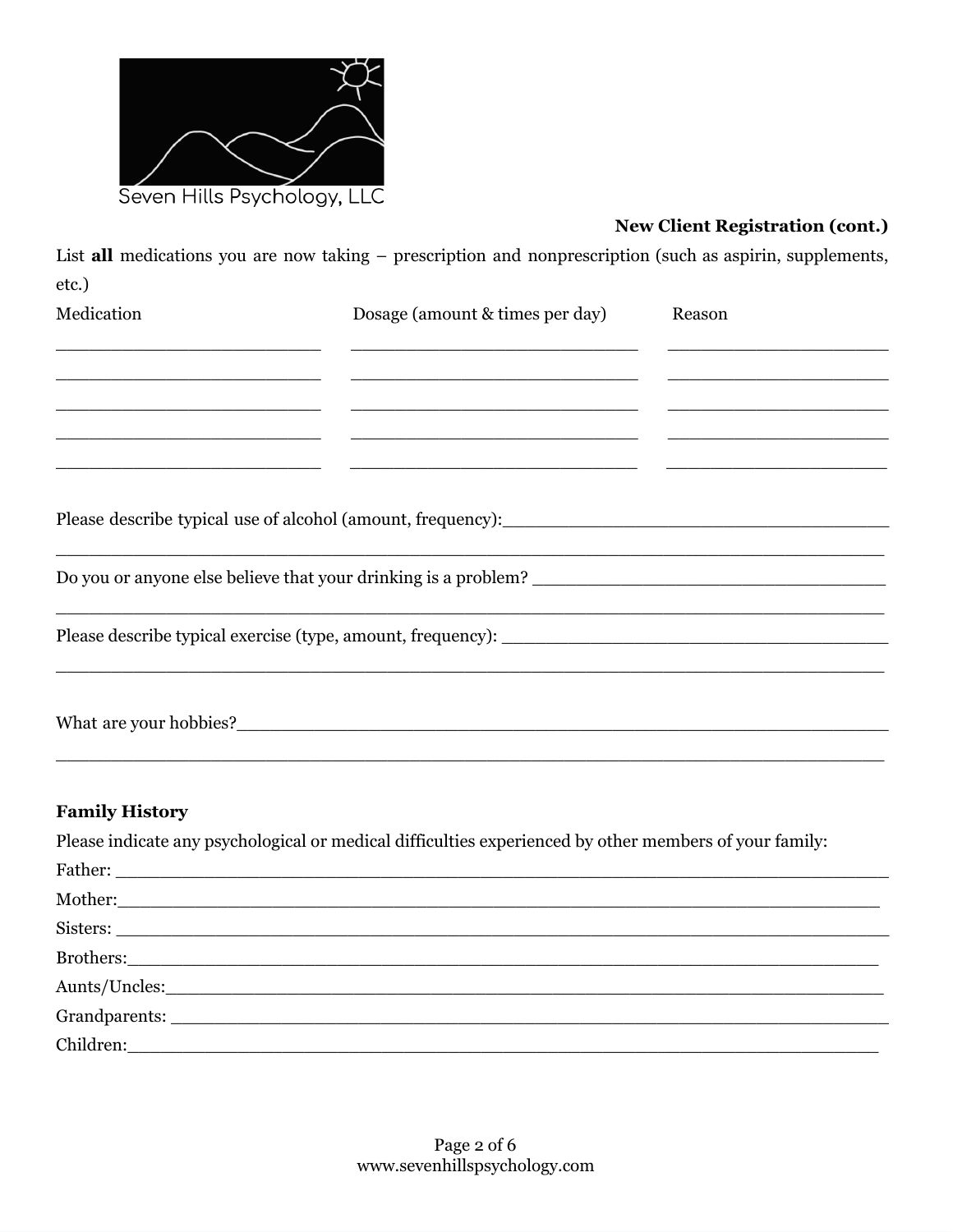

## **New Client Registration (cont.)**

List all medications you are now taking - prescription and nonprescription (such as aspirin, supplements, etc.)

| Medication            | Dosage (amount & times per day)                                                                                                                                                                                                                | Reason                                                                                                                |
|-----------------------|------------------------------------------------------------------------------------------------------------------------------------------------------------------------------------------------------------------------------------------------|-----------------------------------------------------------------------------------------------------------------------|
|                       | <u> 1980 - Johann John Stone, market fan it ferskearre fan it ferskearre fan it ferskearre fan it ferskearre fan i</u><br><u> 1999 - Jan James James James James James James James James James James James James James James James James J</u> |                                                                                                                       |
|                       | <u> 1999 - Jan James James James James James James James James James James James James James James James James J</u>                                                                                                                           |                                                                                                                       |
|                       | <u> 1999 - Jan James James James James James James James James James James James James James James James James J</u>                                                                                                                           |                                                                                                                       |
|                       | <u> 1999 - Jan James James James James James James James James James James James James James James James James J</u>                                                                                                                           |                                                                                                                       |
|                       |                                                                                                                                                                                                                                                |                                                                                                                       |
|                       |                                                                                                                                                                                                                                                | <u> 1940 - Johann John Barn, martin de francez eo arte eta eta ezkonomia eta eta ezkonomia eta ezkonomia eta ezko</u> |
|                       |                                                                                                                                                                                                                                                | <u> 1989 - Johann John Stone, markin film ar yn y brenin y brenin y brenin y brenin y brenin y brenin y brenin y</u>  |
|                       |                                                                                                                                                                                                                                                |                                                                                                                       |
| <b>Family History</b> |                                                                                                                                                                                                                                                |                                                                                                                       |
|                       | Please indicate any psychological or medical difficulties experienced by other members of your family:                                                                                                                                         |                                                                                                                       |

| Trase marcule any psychological of incurred uniference experienced by other inchibers of your family.                                                                                                                               |
|-------------------------------------------------------------------------------------------------------------------------------------------------------------------------------------------------------------------------------------|
|                                                                                                                                                                                                                                     |
| Mother: Nother:                                                                                                                                                                                                                     |
| Sisters: <u>Sisters:</u> Sisters: Sisters: Sisters: Sisters: Sisters: Sisters: Sisters: Sisters: Sisters: Sisters: Sisters: Sisters: Sisters: Sisters: Sisters: Sisters: Sisters: Sisters: Sisters: Sisters: Sisters: Sisters: Sist |
|                                                                                                                                                                                                                                     |
|                                                                                                                                                                                                                                     |
|                                                                                                                                                                                                                                     |
|                                                                                                                                                                                                                                     |
|                                                                                                                                                                                                                                     |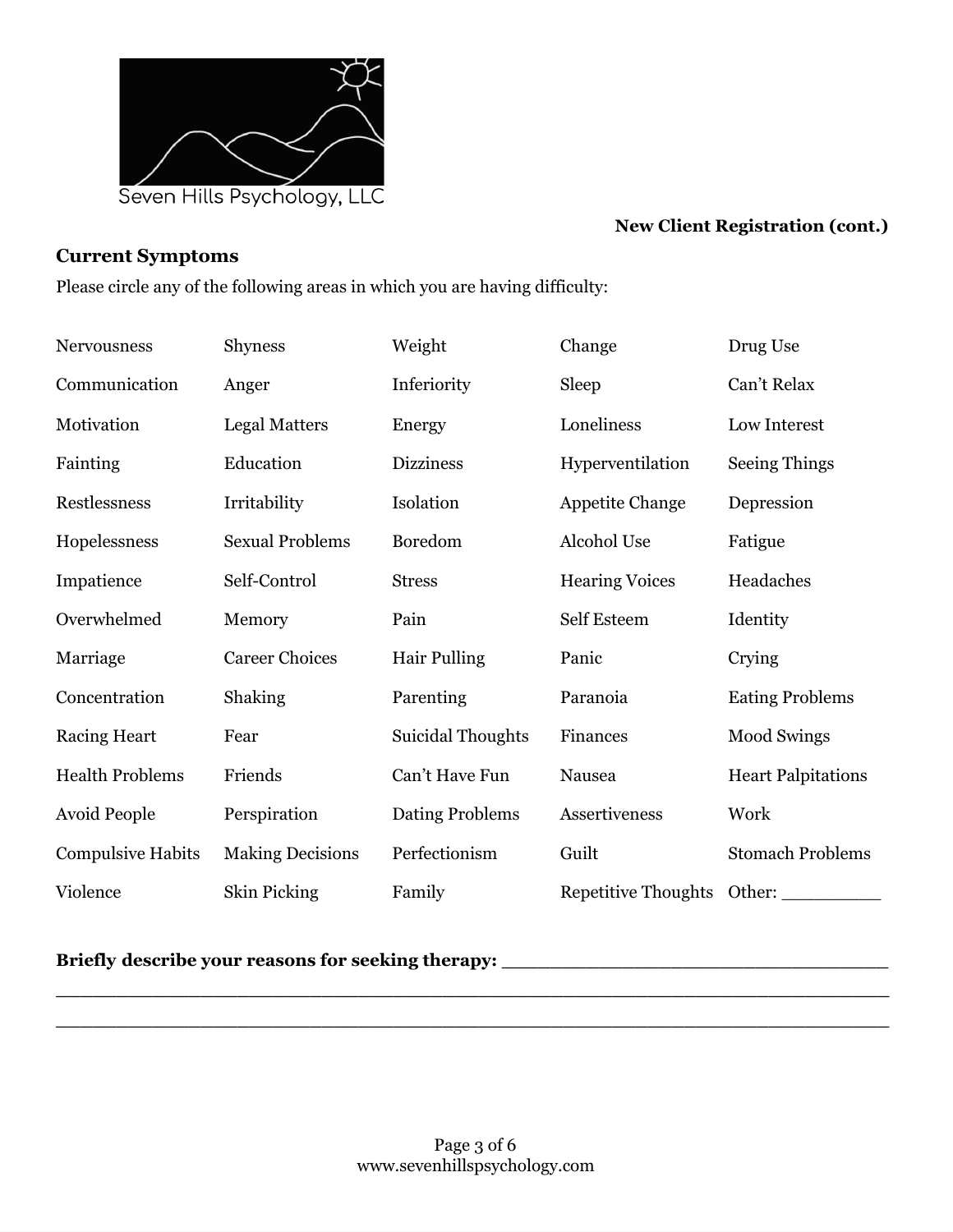

## **New Client Registration (cont.)**

### **Current Symptoms**

Please circle any of the following areas in which you are having difficulty:

| <b>Nervousness</b>       | <b>Shyness</b>          | Weight                   | Change                     | Drug Use                  |
|--------------------------|-------------------------|--------------------------|----------------------------|---------------------------|
| Communication            | Anger                   | Inferiority              | Sleep                      | Can't Relax               |
| Motivation               | <b>Legal Matters</b>    | Energy                   | Loneliness                 | Low Interest              |
| Fainting                 | Education               | <b>Dizziness</b>         | Hyperventilation           | <b>Seeing Things</b>      |
| Restlessness             | Irritability            | Isolation                | <b>Appetite Change</b>     | Depression                |
| Hopelessness             | <b>Sexual Problems</b>  | Boredom                  | Alcohol Use                | Fatigue                   |
| Impatience               | Self-Control            | <b>Stress</b>            | <b>Hearing Voices</b>      | Headaches                 |
| Overwhelmed              | Memory                  | Pain                     | Self Esteem                | Identity                  |
| Marriage                 | <b>Career Choices</b>   | <b>Hair Pulling</b>      | Panic                      | Crying                    |
| Concentration            | Shaking                 | Parenting                | Paranoia                   | <b>Eating Problems</b>    |
| <b>Racing Heart</b>      | Fear                    | <b>Suicidal Thoughts</b> | Finances                   | <b>Mood Swings</b>        |
| <b>Health Problems</b>   | Friends                 | Can't Have Fun           | Nausea                     | <b>Heart Palpitations</b> |
| <b>Avoid People</b>      | Perspiration            | Dating Problems          | Assertiveness              | Work                      |
| <b>Compulsive Habits</b> | <b>Making Decisions</b> | Perfectionism            | Guilt                      | <b>Stomach Problems</b>   |
| Violence                 | Skin Picking            | Family                   | <b>Repetitive Thoughts</b> | Other:                    |

#### **Briefly describe your reasons for seeking therapy: \_\_\_\_\_\_\_\_\_\_\_\_\_\_\_\_\_\_\_\_\_\_\_\_\_\_\_\_\_\_\_\_**

**\_\_\_\_\_\_\_\_\_\_\_\_\_\_\_\_\_\_\_\_\_\_\_\_\_\_\_\_\_\_\_\_\_\_\_\_\_\_\_\_\_\_\_\_\_\_\_\_\_\_\_\_\_\_\_\_\_\_\_\_\_\_\_\_\_\_\_\_\_ \_\_\_\_\_\_\_\_\_\_\_\_\_\_\_\_\_\_\_\_\_\_\_\_\_\_\_\_\_\_\_\_\_\_\_\_\_\_\_\_\_\_\_\_\_\_\_\_\_\_\_\_\_\_\_\_\_\_\_\_\_\_\_\_\_\_\_\_\_**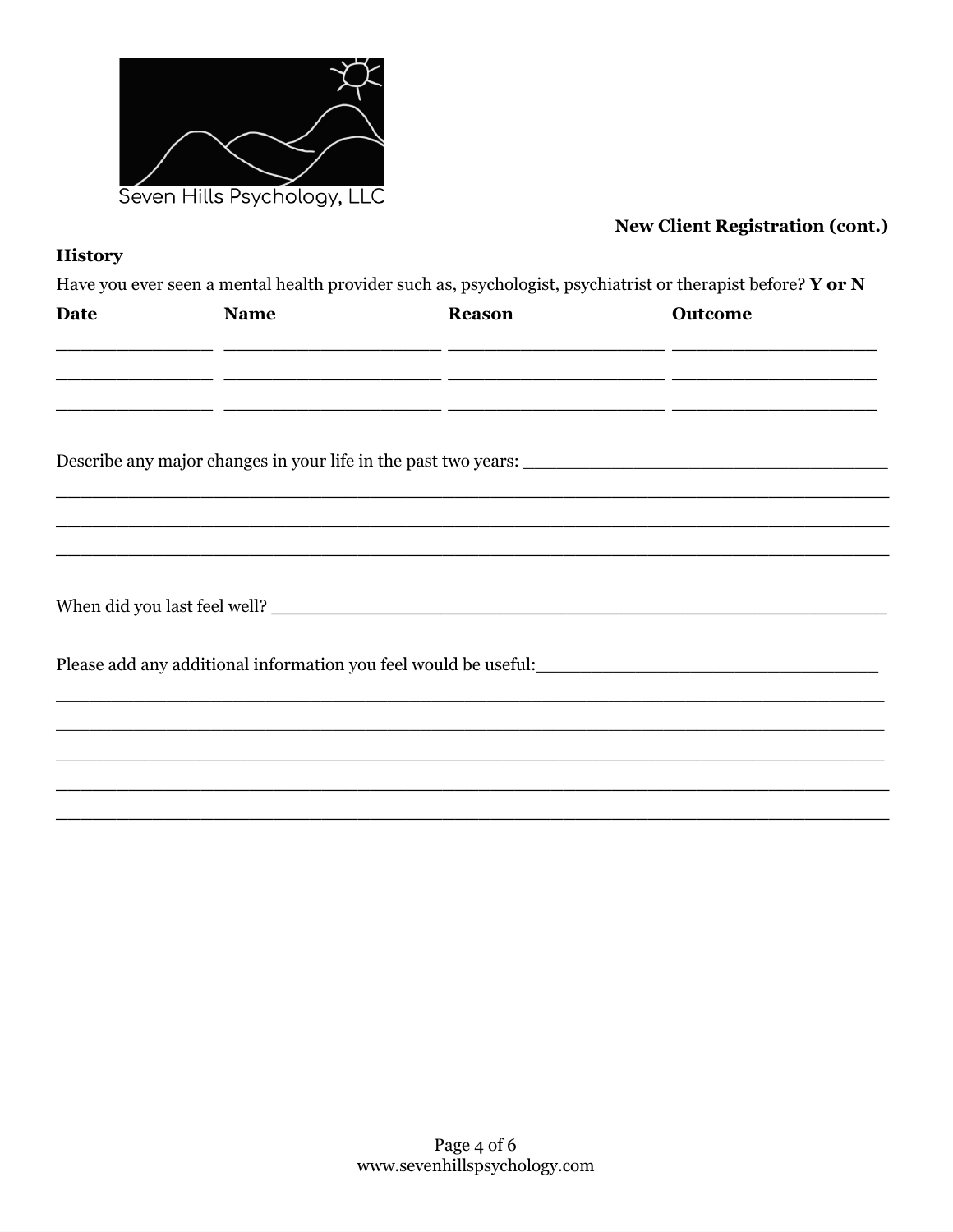

## **New Client Registration (cont.)**

## **History**

Have you ever seen a mental health provider such as, psychologist, psychiatrist or therapist before? Y or N

| Date | <b>Name</b> | <b>Reason</b>                                                                                                         | Outcome |  |
|------|-------------|-----------------------------------------------------------------------------------------------------------------------|---------|--|
|      |             | <u> 2003 - Jan Jan James, Amerikaansk politik (d. 1888)</u>                                                           |         |  |
|      |             |                                                                                                                       |         |  |
|      |             | <u> 2002 - 2003 - 2003 - 2003 - 2003 - 2003 - 2003 - 2003 - 2004 - 2005 - 2008 - 2009 - 2009 - 2009 - 2009 - 200</u>  |         |  |
|      |             |                                                                                                                       |         |  |
|      |             |                                                                                                                       |         |  |
|      |             | <u> 1989 - Johann Stoff, deutscher Stoff, der Stoff, der Stoff, der Stoff, der Stoff, der Stoff, der Stoff, der S</u> |         |  |
|      |             | <u> 1990 - Johann Stoff, amerikan bestein de stad in de stad in de stad in de stad in de stad in de stad in de st</u> |         |  |
|      |             |                                                                                                                       |         |  |
|      |             |                                                                                                                       |         |  |
|      |             |                                                                                                                       |         |  |
|      |             |                                                                                                                       |         |  |
|      |             | ,我们也不能在这里,我们也不能在这里的时候,我们也不能会不能会不能会不能会不能会不能会不能会不能会不能会不能会。""我们,我们也不能会不能会不能会不能会不能会不                                      |         |  |
|      |             | ,我们也不能会在这里,我们也不能会在这里,我们也不能会在这里,我们也不能会在这里,我们也不能会在这里,我们也不能会不能会不能会。""我们,我们也不能会不能会不能                                      |         |  |
|      |             |                                                                                                                       |         |  |
|      |             |                                                                                                                       |         |  |
|      |             |                                                                                                                       |         |  |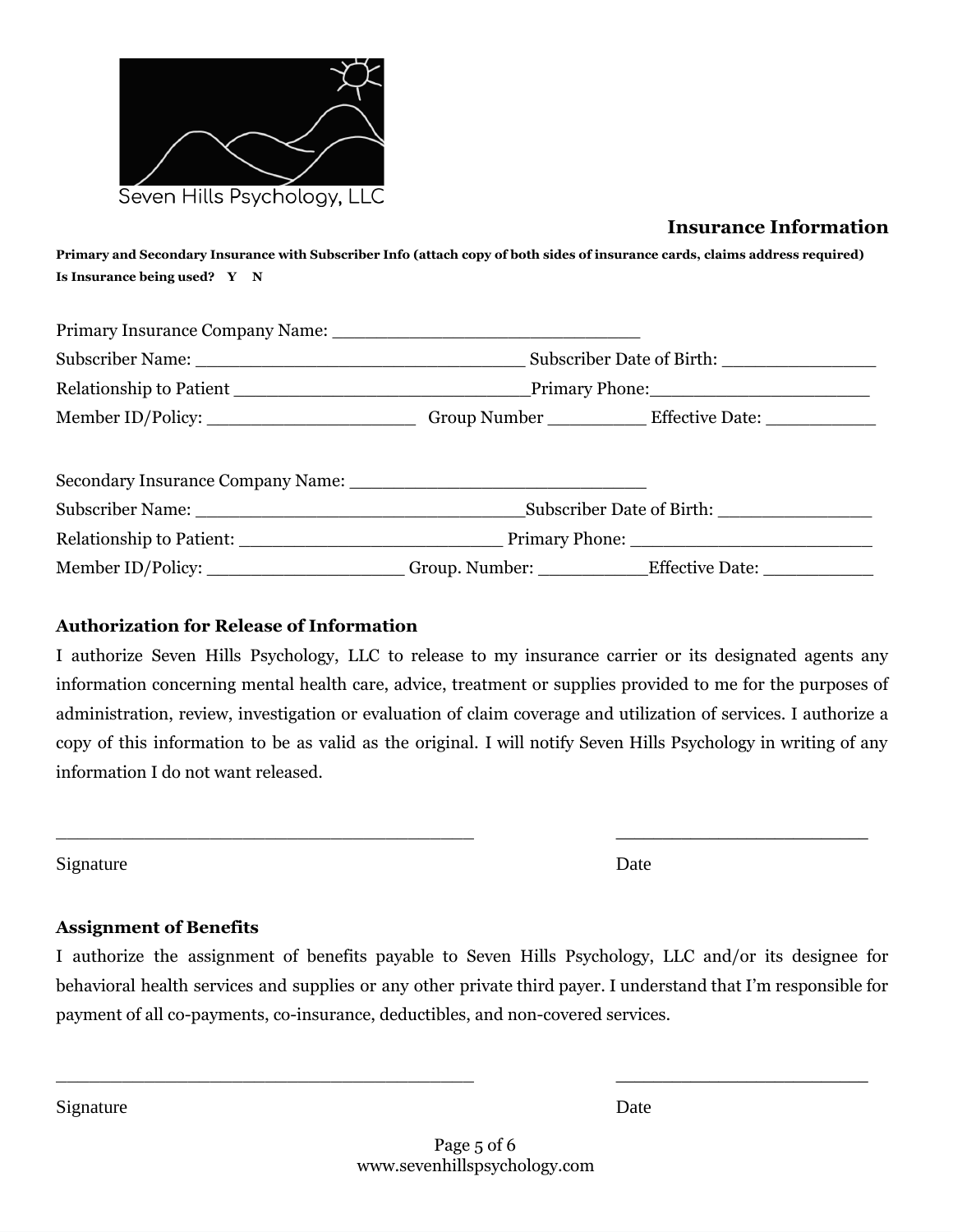

## **Insurance Information**

Primary and Secondary Insurance with Subscriber Info (attach copy of both sides of insurance cards, claims address required) **Is Insurance being used? Y N**

|                                                                                                      | Subscriber Date of Birth:           |
|------------------------------------------------------------------------------------------------------|-------------------------------------|
|                                                                                                      |                                     |
| Member ID/Policy: __________________________Group Number _____________Effective Date: ______________ |                                     |
| Secondary Insurance Company Name:                                                                    |                                     |
|                                                                                                      | Subscriber Date of Birth: _________ |

| <b>Relationship to Patient:</b> | <b>Primary Phone:</b> |                        |
|---------------------------------|-----------------------|------------------------|
| Member ID/Policy:               | Group. Number:        | <b>Effective Date:</b> |

#### **Authorization for Release of Information**

I authorize Seven Hills Psychology, LLC to release to my insurance carrier or its designated agents any information concerning mental health care, advice, treatment or supplies provided to me for the purposes of administration, review, investigation or evaluation of claim coverage and utilization of services. I authorize a copy of this information to be as valid as the original. I will notify Seven Hills Psychology in writing of any information I do not want released.

 $\overline{\phantom{a}}$  , and the contract of the contract of the contract of the contract of the contract of the contract of the contract of the contract of the contract of the contract of the contract of the contract of the contrac

Signature Date

#### **Assignment of Benefits**

I authorize the assignment of benefits payable to Seven Hills Psychology, LLC and/or its designee for behavioral health services and supplies or any other private third payer. I understand that I'm responsible for payment of all co-payments, co-insurance, deductibles, and non-covered services.

 $\overline{\phantom{a}}$  , and the contract of the contract of the contract of the contract of the contract of the contract of the contract of the contract of the contract of the contract of the contract of the contract of the contrac

Signature Date Date of the Date of the Date of the Date of the Date of the Date of the Date of the Date of the Date of the Date of the Date of the Date of the Date of the Date of the Date of the Date of the Date of the Dat